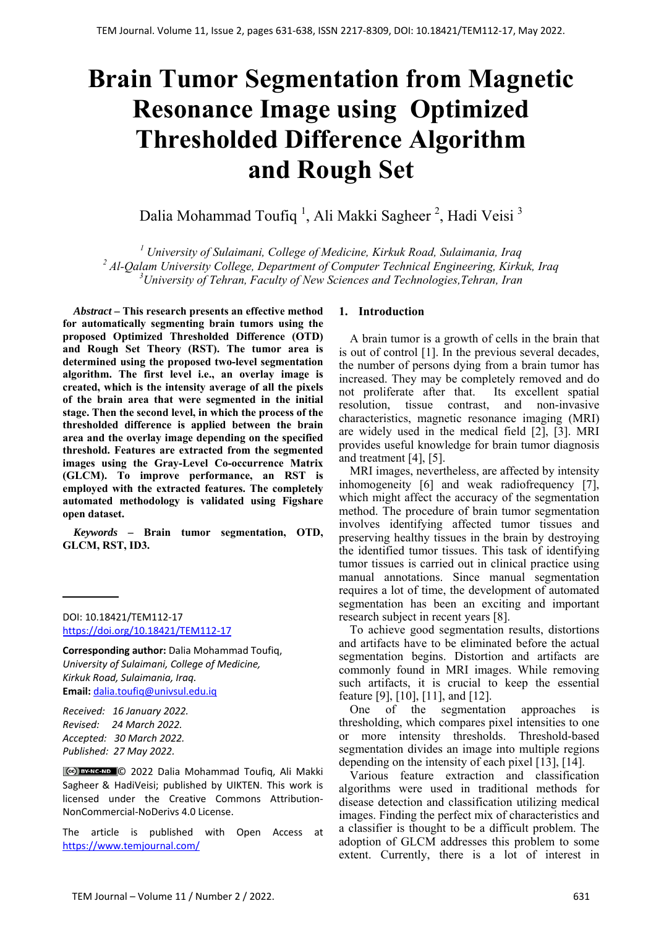# **Brain Tumor Segmentation from Magnetic Resonance Image using Optimized Thresholded Difference Algorithm and Rough Set**

Dalia Mohammad Toufiq <sup>1</sup>, Ali Makki Sagheer <sup>2</sup>, Hadi Veisi <sup>3</sup>

*<sup>1</sup> University of Sulaimani, College of Medicine, Kirkuk Road, Sulaimania, Iraq <sup>2</sup> Al-Qalam University College, Department of Computer Technical Engineering, Kirkuk, Iraq 3 University of Tehran, Faculty of New Sciences and Technologies,Tehran, Iran* 

*Abstract –* **This research presents an effective method for automatically segmenting brain tumors using the proposed Optimized Thresholded Difference (OTD) and Rough Set Theory (RST). The tumor area is determined using the proposed two-level segmentation algorithm. The first level i.e., an overlay image is created, which is the intensity average of all the pixels of the brain area that were segmented in the initial stage. Then the second level, in which the process of the thresholded difference is applied between the brain area and the overlay image depending on the specified threshold. Features are extracted from the segmented images using the Gray-Level Co-occurrence Matrix (GLCM). To improve performance, an RST is employed with the extracted features. The completely automated methodology is validated using Figshare open dataset.** 

*Keywords –* **Brain tumor segmentation, OTD, GLCM, RST, ID3.** 

DOI: 10.18421/TEM112-17 [https://doi.org/10.18421/TEM112](https://doi.org/10.18421/TEM112-17)-17

**Corresponding author:** Dalia Mohammad Toufiq, *University of Sulaimani, College of Medicine, Kirkuk Road, Sulaimania, Iraq.*  **Email:** dalia.toufiq@univsul.edu.iq

*Received: 16 January 2022. Revised: 24 March 2022. Accepted: 30 March 2022. Published: 27 May 2022.* 

© 2022 Dalia Mohammad Toufiq, Ali Makki Sagheer & HadiVeisi; published by UIKTEN. This work is licensed under the Creative Commons Attribution‐ NonCommercial‐NoDerivs 4.0 License.

The article is published with Open Access at https://www.temjournal.com/

## **1. Introduction**

A brain tumor is a growth of cells in the brain that is out of control [1]. In the previous several decades, the number of persons dying from a brain tumor has increased. They may be completely removed and do not proliferate after that. Its excellent spatial resolution, tissue contrast, and non-invasive characteristics, magnetic resonance imaging (MRI) are widely used in the medical field [2], [3]. MRI provides useful knowledge for brain tumor diagnosis and treatment [4], [5].

MRI images, nevertheless, are affected by intensity inhomogeneity [6] and weak radiofrequency [7], which might affect the accuracy of the segmentation method. The procedure of brain tumor segmentation involves identifying affected tumor tissues and preserving healthy tissues in the brain by destroying the identified tumor tissues. This task of identifying tumor tissues is carried out in clinical practice using manual annotations. Since manual segmentation requires a lot of time, the development of automated segmentation has been an exciting and important research subject in recent years [8].

To achieve good segmentation results, distortions and artifacts have to be eliminated before the actual segmentation begins. Distortion and artifacts are commonly found in MRI images. While removing such artifacts, it is crucial to keep the essential feature [9], [10], [11], and [12].

One of the segmentation approaches is thresholding, which compares pixel intensities to one or more intensity thresholds. Threshold-based segmentation divides an image into multiple regions depending on the intensity of each pixel [13], [14].

Various feature extraction and classification algorithms were used in traditional methods for disease detection and classification utilizing medical images. Finding the perfect mix of characteristics and a classifier is thought to be a difficult problem. The adoption of GLCM addresses this problem to some extent. Currently, there is a lot of interest in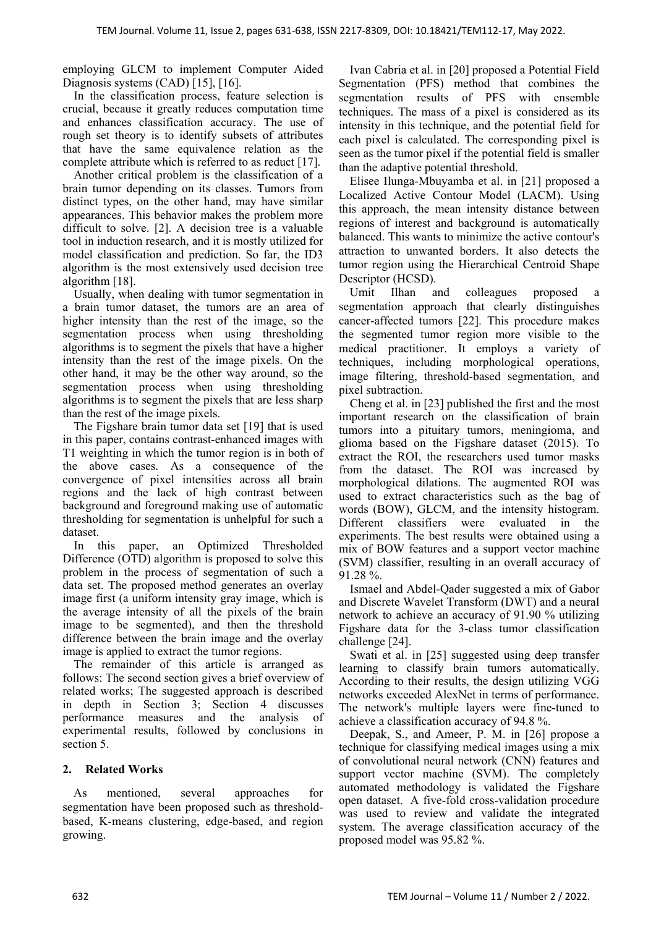employing GLCM to implement Computer Aided Diagnosis systems (CAD) [15], [16].

In the classification process, feature selection is crucial, because it greatly reduces computation time and enhances classification accuracy. The use of rough set theory is to identify subsets of attributes that have the same equivalence relation as the complete attribute which is referred to as reduct [17].

Another critical problem is the classification of a brain tumor depending on its classes. Tumors from distinct types, on the other hand, may have similar appearances. This behavior makes the problem more difficult to solve. [2]. A decision tree is a valuable tool in induction research, and it is mostly utilized for model classification and prediction. So far, the ID3 algorithm is the most extensively used decision tree algorithm [18].

Usually, when dealing with tumor segmentation in a brain tumor dataset, the tumors are an area of higher intensity than the rest of the image, so the segmentation process when using thresholding algorithms is to segment the pixels that have a higher intensity than the rest of the image pixels. On the other hand, it may be the other way around, so the segmentation process when using thresholding algorithms is to segment the pixels that are less sharp than the rest of the image pixels.

The Figshare brain tumor data set [19] that is used in this paper, contains contrast-enhanced images with T1 weighting in which the tumor region is in both of the above cases. As a consequence of the convergence of pixel intensities across all brain regions and the lack of high contrast between background and foreground making use of automatic thresholding for segmentation is unhelpful for such a dataset.

In this paper, an Optimized Thresholded Difference (OTD) algorithm is proposed to solve this problem in the process of segmentation of such a data set. The proposed method generates an overlay image first (a uniform intensity gray image, which is the average intensity of all the pixels of the brain image to be segmented), and then the threshold difference between the brain image and the overlay image is applied to extract the tumor regions.

The remainder of this article is arranged as follows: The second section gives a brief overview of related works; The suggested approach is described in depth in Section 3; Section 4 discusses performance measures and the analysis of experimental results, followed by conclusions in section 5.

# **2. Related Works**

As mentioned, several approaches for segmentation have been proposed such as thresholdbased, K-means clustering, edge-based, and region growing.

Ivan Cabria et al. in [20] proposed a Potential Field Segmentation (PFS) method that combines the segmentation results of PFS with ensemble techniques. The mass of a pixel is considered as its intensity in this technique, and the potential field for each pixel is calculated. The corresponding pixel is seen as the tumor pixel if the potential field is smaller than the adaptive potential threshold.

Elisee Ilunga-Mbuyamba et al. in [21] proposed a Localized Active Contour Model (LACM). Using this approach, the mean intensity distance between regions of interest and background is automatically balanced. This wants to minimize the active contour's attraction to unwanted borders. It also detects the tumor region using the Hierarchical Centroid Shape Descriptor (HCSD).

Umit Ilhan and colleagues proposed segmentation approach that clearly distinguishes cancer-affected tumors [22]. This procedure makes the segmented tumor region more visible to the medical practitioner. It employs a variety of techniques, including morphological operations, image filtering, threshold-based segmentation, and pixel subtraction.

Cheng et al. in [23] published the first and the most important research on the classification of brain tumors into a pituitary tumors, meningioma, and glioma based on the Figshare dataset (2015). To extract the ROI, the researchers used tumor masks from the dataset. The ROI was increased by morphological dilations. The augmented ROI was used to extract characteristics such as the bag of words (BOW), GLCM, and the intensity histogram. Different classifiers were evaluated in the experiments. The best results were obtained using a mix of BOW features and a support vector machine (SVM) classifier, resulting in an overall accuracy of 91.28 %.

Ismael and Abdel-Qader suggested a mix of Gabor and Discrete Wavelet Transform (DWT) and a neural network to achieve an accuracy of 91.90 % utilizing Figshare data for the 3-class tumor classification challenge [24].

Swati et al. in [25] suggested using deep transfer learning to classify brain tumors automatically. According to their results, the design utilizing VGG networks exceeded AlexNet in terms of performance. The network's multiple layers were fine-tuned to achieve a classification accuracy of 94.8 %.

Deepak, S., and Ameer, P. M. in [26] propose a technique for classifying medical images using a mix of convolutional neural network (CNN) features and support vector machine (SVM). The completely automated methodology is validated the Figshare open dataset. A five-fold cross-validation procedure was used to review and validate the integrated system. The average classification accuracy of the proposed model was 95.82 %.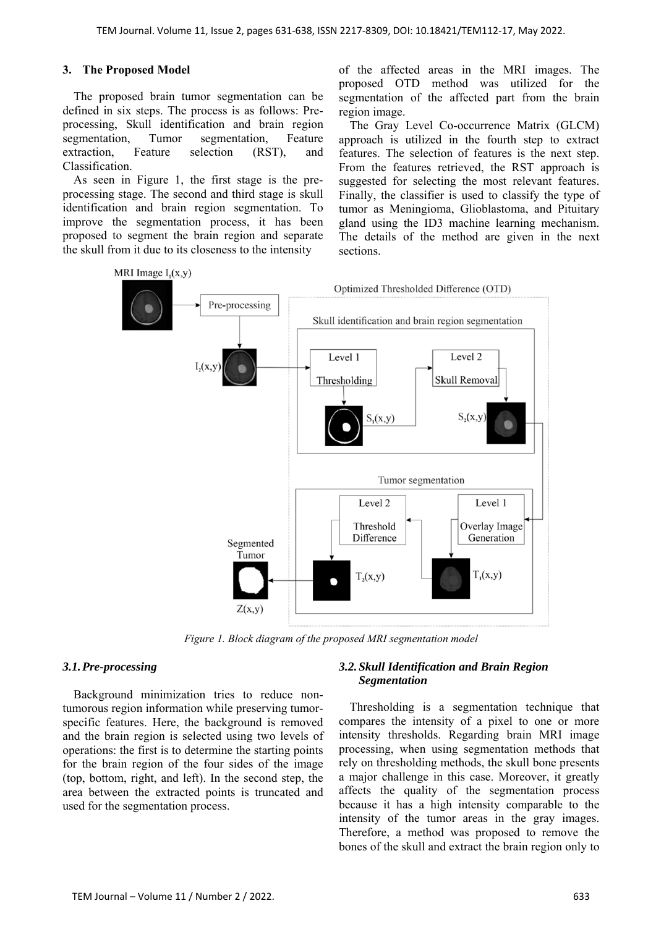#### **3. The Proposed Model**

The proposed brain tumor segmentation can be defined in six steps. The process is as follows: Preprocessing, Skull identification and brain region segmentation, Tumor segmentation, Feature extraction, Feature selection (RST), and Classification.

As seen in Figure 1, the first stage is the preprocessing stage. The second and third stage is skull identification and brain region segmentation. To improve the segmentation process, it has been proposed to segment the brain region and separate the skull from it due to its closeness to the intensity

of the affected areas in the MRI images. The proposed OTD method was utilized for the segmentation of the affected part from the brain region image.

The Gray Level Co-occurrence Matrix (GLCM) approach is utilized in the fourth step to extract features. The selection of features is the next step. From the features retrieved, the RST approach is suggested for selecting the most relevant features. Finally, the classifier is used to classify the type of tumor as Meningioma, Glioblastoma, and Pituitary gland using the ID3 machine learning mechanism. The details of the method are given in the next sections.



*Figure 1. Block diagram of the proposed MRI segmentation model* 

#### *3.1.Pre-processing*

Background minimization tries to reduce nontumorous region information while preserving tumorspecific features. Here, the background is removed and the brain region is selected using two levels of operations: the first is to determine the starting points for the brain region of the four sides of the image (top, bottom, right, and left). In the second step, the area between the extracted points is truncated and used for the segmentation process.

## *3.2.Skull Identification and Brain Region Segmentation*

Thresholding is a segmentation technique that compares the intensity of a pixel to one or more intensity thresholds. Regarding brain MRI image processing, when using segmentation methods that rely on thresholding methods, the skull bone presents a major challenge in this case. Moreover, it greatly affects the quality of the segmentation process because it has a high intensity comparable to the intensity of the tumor areas in the gray images. Therefore, a method was proposed to remove the bones of the skull and extract the brain region only to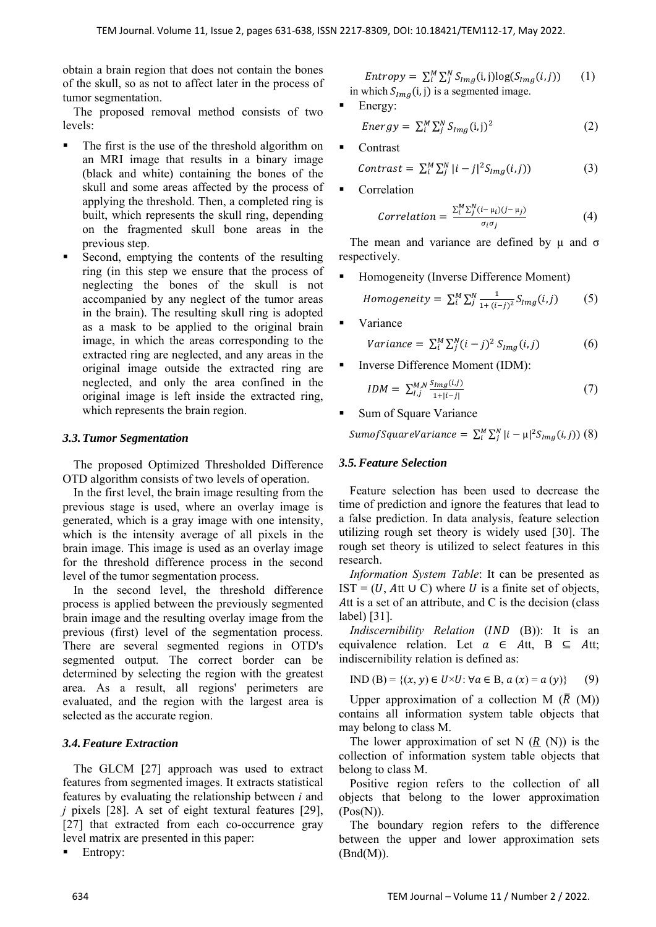obtain a brain region that does not contain the bones of the skull, so as not to affect later in the process of tumor segmentation.

The proposed removal method consists of two levels:

- The first is the use of the threshold algorithm on an MRI image that results in a binary image (black and white) containing the bones of the skull and some areas affected by the process of applying the threshold. Then, a completed ring is built, which represents the skull ring, depending on the fragmented skull bone areas in the previous step.
- Second, emptying the contents of the resulting ring (in this step we ensure that the process of neglecting the bones of the skull is not accompanied by any neglect of the tumor areas in the brain). The resulting skull ring is adopted as a mask to be applied to the original brain image, in which the areas corresponding to the extracted ring are neglected, and any areas in the original image outside the extracted ring are neglected, and only the area confined in the original image is left inside the extracted ring, which represents the brain region.

## *3.3.Tumor Segmentation*

The proposed Optimized Thresholded Difference OTD algorithm consists of two levels of operation.

In the first level, the brain image resulting from the previous stage is used, where an overlay image is generated, which is a gray image with one intensity, which is the intensity average of all pixels in the brain image. This image is used as an overlay image for the threshold difference process in the second level of the tumor segmentation process.

In the second level, the threshold difference process is applied between the previously segmented brain image and the resulting overlay image from the previous (first) level of the segmentation process. There are several segmented regions in OTD's segmented output. The correct border can be determined by selecting the region with the greatest area. As a result, all regions' perimeters are evaluated, and the region with the largest area is selected as the accurate region.

# *3.4.Feature Extraction*

The GLCM [27] approach was used to extract features from segmented images. It extracts statistical features by evaluating the relationship between *i* and *j* pixels [28]. A set of eight textural features [29], [27] that extracted from each co-occurrence gray level matrix are presented in this paper:

Entropy:

$$
Entropy = \sum_{i}^{M} \sum_{j}^{N} S_{Img}(i, j) \log(S_{Img}(i, j))
$$
  
in which  $S_{Img}(i, j)$  is a segmented image. (1)

$$
\begin{aligned}\n\text{Energy:} \\
\text{Energy:} \\
\text{Energy:} \\
\text{Energy:} \\
\text{Energy:} \\
\text{Energy:} \\
\text{Energy:} \\
\text{Energy:} \\
\text{Energy:} \\
\text{Energy:} \\
\text{Energy:} \\
\text{Energy:} \\
\text{Energy:} \\
\text{Energy:} \\
\text{D:} \\
\text{D:} \\
\text{D:} \\
\text{D:} \\
\text{D:} \\
\text{D:} \\
\text{D:} \\
\text{D:} \\
\text{D:} \\
\text{D:} \\
\text{D:} \\
\text{D:} \\
\text{D:} \\
\text{D:} \\
\text{D:} \\
\text{D:} \\
\text{D:} \\
\text{D:} \\
\text{D:} \\
\text{D:} \\
\text{D:} \\
\text{D:} \\
\text{D:} \\
\text{D:} \\
\text{D:} \\
\text{D:} \\
\text{D:} \\
\text{D:} \\
\text{D:} \\
\text{D:} \\
\text{D:} \\
\text{D:} \\
\text{D:} \\
\text{D:} \\
\text{D:} \\
\text{D:} \\
\text{D:} \\
\text{D:} \\
\text{D:} \\
\text{D:} \\
\text{D:} \\
\text{D:} \\
\text{D:} \\
\text{D:} \\
\text{D:} \\
\text{D:} \\
\text{D:} \\
\text{D:} \\
\text{D:} \\
\text{D:} \\
\text{D:} \\
\text{D:} \\
\text{D:} \\
\text{D:} \\
\text{D:} \\
\text{D:} \\
\text{D:} \\
\text{D:} \\
\text{D:} \\
\text{D:} \\
\text{D:} \\
\text{D:} \\
\text{D:} \\
\text{D:} \\
\text{D:} \\
\text{D:} \\
\text{D:} \\
\text{D:} \\
\text{D:} \\
\text{D:} \\
\text{D:} \\
\text{D:} \\
\text{D:} \\
\text{D:} \\
\text{D:} \\
\text{D:} \\
\text{D:} \\
\text{D:} \\
\text{D:} \\
\text{D:} \\
\text{D:} \\
\text{D:} \\
\text{D:} \\
\text{D:} \\
\text{D:} \\
\text{D:} \\
\text{D:} \\
\text{D:} \\
\text{D:} \\
\text{D:} \\
\text{D:} \\
\text{D:} \\
\text{D:} \\
\text{D:
$$

- Contrast Contrast =  $\sum_{i}^{M} \sum_{j}^{N} |i-j|^2 S_{Img}(i,j)$  (3)
- Correlation

$$
Correlation = \frac{\sum_{i}^{M} \sum_{j}^{N} (i - \mu_{i}) (j - \mu_{j})}{\sigma_{i} \sigma_{j}}
$$
(4)

The mean and variance are defined by  $\mu$  and  $\sigma$ respectively.

Homogeneity (Inverse Difference Moment)

$$
Homogeneity = \sum_{i=1}^{M} \sum_{j=1}^{N} \frac{1}{1 + (i-j)^2} S_{Img}(i,j) \tag{5}
$$

Variance

$$
Variance = \sum_{i}^{M} \sum_{j}^{N} (i - j)^2 S_{img}(i, j)
$$
 (6)

Inverse Difference Moment (IDM):

$$
IDM = \sum_{i,j}^{M,N} \frac{S_{img}(i,j)}{1 + |i - j|}
$$
 (7)

Sum of Square Variance

Sumof SquareV ariance =  $\sum_{i=1}^{M} \sum_{j=1}^{N} |i - \mu|^2 S_{Img}(i, j))$  (8)

#### *3.5.Feature Selection*

Feature selection has been used to decrease the time of prediction and ignore the features that lead to a false prediction. In data analysis, feature selection utilizing rough set theory is widely used [30]. The rough set theory is utilized to select features in this research.

*Information System Table*: It can be presented as IST =  $(U, At U C)$  where U is a finite set of objects, Att is a set of an attribute, and  $C$  is the decision (class label) [31].

*Indiscernibility Relation (IND (B))*: It is an equivalence relation. Let  $\alpha \in At$ ,  $B \subseteq At$ ; indiscernibility relation is defined as:

IND (B) = {
$$
(x, y) \in U \times U
$$
:  $\forall a \in B, a(x) = a(y)$ } (9)

Upper approximation of a collection M  $(\overline{R}$  (M)) contains all information system table objects that may belong to class M.

The lower approximation of set N  $(R(N))$  is the collection of information system table objects that belong to class M.

Positive region refers to the collection of all objects that belong to the lower approximation  $(Pos(N)).$ 

The boundary region refers to the difference between the upper and lower approximation sets  $(Bnd(M)).$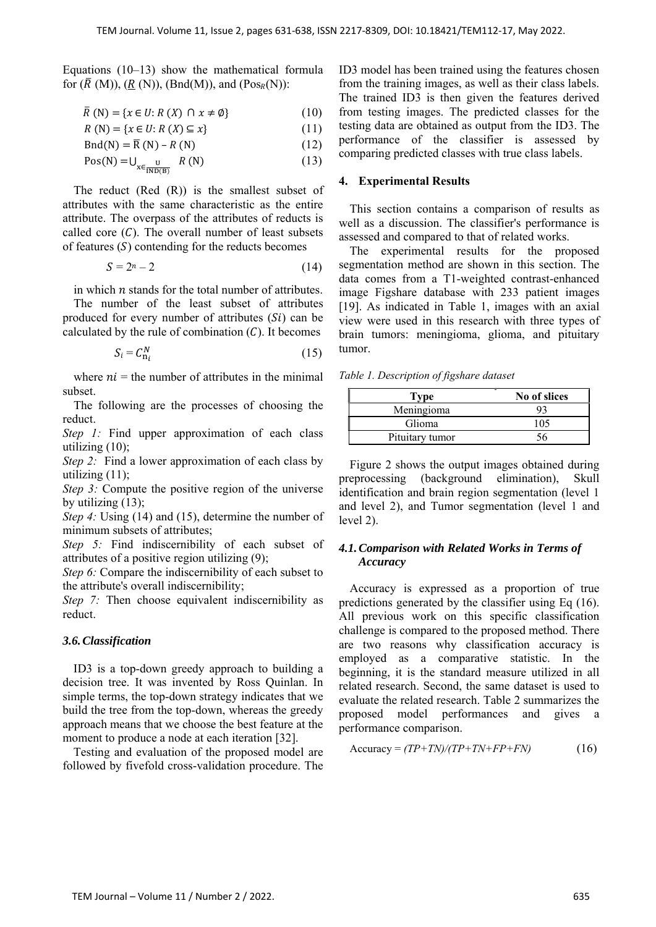Equations  $(10-13)$  show the mathematical formula for  $(\overline{R} (M)), (\underline{R} (N)), (Bnd(M)),$  and  $(Pos_R(N))$ :

$$
\overline{R}(N) = \{x \in U: R(X) \cap x \neq \emptyset\}
$$
 (10)

$$
R(N) = \{x \in U : R(X) \subseteq x\}
$$
 (11)

$$
Bnd(N) = \overline{R}(N) - R(N)
$$
 (12)

$$
Pos(N) = U_{\frac{U}{X \in \frac{U}{IND(B)}}} R(N)
$$
 (13)

The reduct (Red (R)) is the smallest subset of attributes with the same characteristic as the entire attribute. The overpass of the attributes of reducts is called core  $(C)$ . The overall number of least subsets of features  $(S)$  contending for the reducts becomes

$$
S = 2^n - 2 \tag{14}
$$

in which  $n$  stands for the total number of attributes. The number of the least subset of attributes produced for every number of attributes  $(S_i)$  can be calculated by the rule of combination  $(C)$ . It becomes

$$
S_i = C_{n_i}^N \tag{15}
$$

where  $ni =$  the number of attributes in the minimal subset.

The following are the processes of choosing the reduct.

*Step 1:* Find upper approximation of each class utilizing (10);

*Step 2:* Find a lower approximation of each class by utilizing (11);

*Step 3:* Compute the positive region of the universe by utilizing (13);

*Step 4:* Using (14) and (15), determine the number of minimum subsets of attributes;

*Step 5:* Find indiscernibility of each subset of attributes of a positive region utilizing (9);

*Step 6:* Compare the indiscernibility of each subset to the attribute's overall indiscernibility;

*Step 7:* Then choose equivalent indiscernibility as reduct.

#### *3.6.Classification*

ID3 is a top-down greedy approach to building a decision tree. It was invented by Ross Quinlan. In simple terms, the top-down strategy indicates that we build the tree from the top-down, whereas the greedy approach means that we choose the best feature at the moment to produce a node at each iteration [32].

Testing and evaluation of the proposed model are followed by fivefold cross-validation procedure. The ID3 model has been trained using the features chosen from the training images, as well as their class labels. The trained ID3 is then given the features derived from testing images. The predicted classes for the testing data are obtained as output from the ID3. The performance of the classifier is assessed by comparing predicted classes with true class labels.

#### **4. Experimental Results**

This section contains a comparison of results as well as a discussion. The classifier's performance is assessed and compared to that of related works.

The experimental results for the proposed segmentation method are shown in this section. The data comes from a T1-weighted contrast-enhanced image Figshare database with 233 patient images [19]. As indicated in Table 1, images with an axial view were used in this research with three types of brain tumors: meningioma, glioma, and pituitary tumor.

*Table 1. Description of figshare dataset* 

| <b>Type</b>     | No of slices |
|-----------------|--------------|
| Meningioma      |              |
| Glioma          | 105          |
| Pituitary tumor |              |

Figure 2 shows the output images obtained during preprocessing (background elimination), Skull identification and brain region segmentation (level 1 and level 2), and Tumor segmentation (level 1 and level 2).

# *4.1.Comparison with Related Works in Terms of Accuracy*

Accuracy is expressed as a proportion of true predictions generated by the classifier using Eq (16). All previous work on this specific classification challenge is compared to the proposed method. There are two reasons why classification accuracy is employed as a comparative statistic. In the beginning, it is the standard measure utilized in all related research. Second, the same dataset is used to evaluate the related research. Table 2 summarizes the proposed model performances and gives a performance comparison.

$$
Accuracy = (TP + TN)/(TP + TN + FP + FN)
$$
 (16)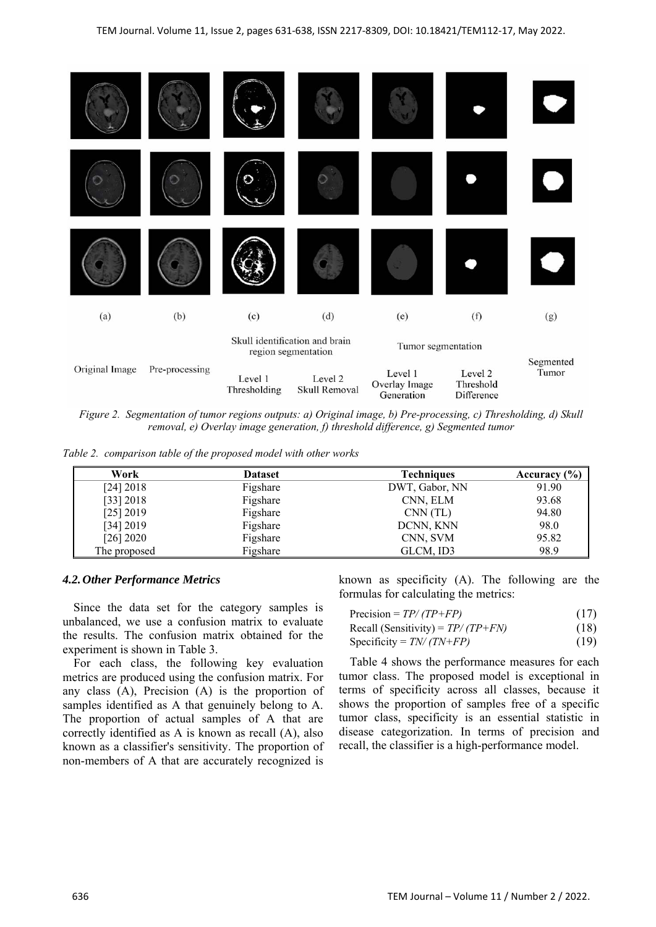

*Figure 2. Segmentation of tumor regions outputs: a) Original image, b) Pre-processing, c) Thresholding, d) Skull removal, e) Overlay image generation, f) threshold difference, g) Segmented tumor*

*Table 2. comparison table of the proposed model with other works* 

| Work         | <b>Dataset</b> | <b>Techniques</b> | Accuracy (%) |
|--------------|----------------|-------------------|--------------|
| [24] 2018    | Figshare       | DWT, Gabor, NN    | 91.90        |
| [33] 2018    | Figshare       | CNN, ELM          | 93.68        |
| $[25]$ 2019  | Figshare       | CNN(TL)           | 94.80        |
| [34] 2019    | Figshare       | DCNN, KNN         | 98.0         |
| [26] 2020    | Figshare       | CNN, SVM          | 95.82        |
| The proposed | Figshare       | GLCM, ID3         | 98.9         |

#### *4.2.Other Performance Metrics*

Since the data set for the category samples is unbalanced, we use a confusion matrix to evaluate the results. The confusion matrix obtained for the experiment is shown in Table 3.

For each class, the following key evaluation metrics are produced using the confusion matrix. For any class (A), Precision (A) is the proportion of samples identified as A that genuinely belong to A. The proportion of actual samples of A that are correctly identified as A is known as recall (A), also known as a classifier's sensitivity. The proportion of non-members of A that are accurately recognized is

known as specificity (A). The following are the formulas for calculating the metrics:

| Precision = $TP/(TP+FP)$            | (17) |
|-------------------------------------|------|
| Recall (Sensitivity) = $TP/(TP+FN)$ | (18) |
|                                     | .    |

Specificity =  $TN/(TN+FP)$  (19)

Table 4 shows the performance measures for each tumor class. The proposed model is exceptional in terms of specificity across all classes, because it shows the proportion of samples free of a specific tumor class, specificity is an essential statistic in disease categorization. In terms of precision and recall, the classifier is a high-performance model.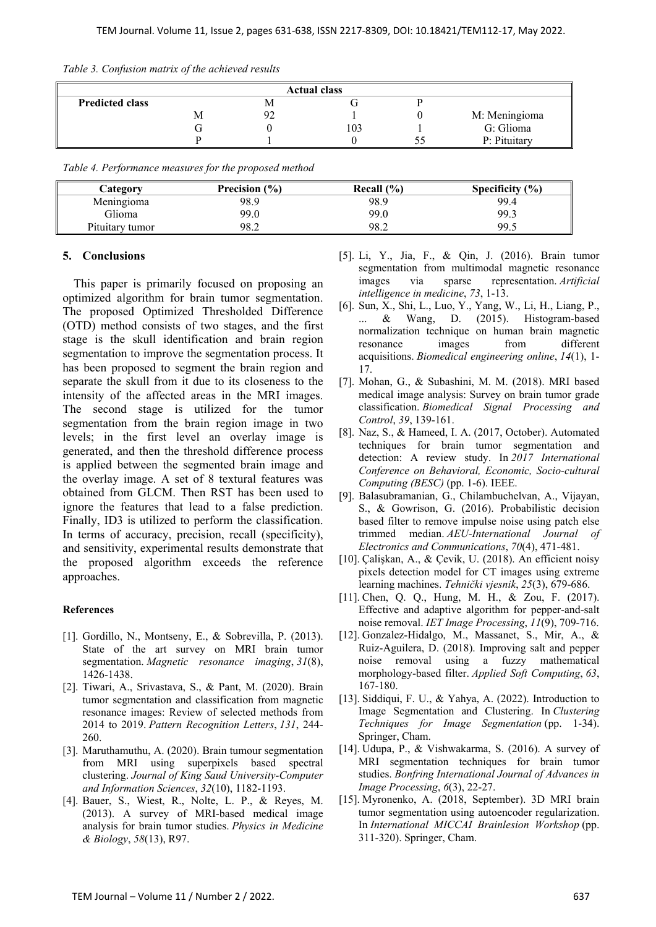|  |  |  | Table 3. Confusion matrix of the achieved results |  |
|--|--|--|---------------------------------------------------|--|
|--|--|--|---------------------------------------------------|--|

| <b>Actual class</b>    |   |  |     |               |
|------------------------|---|--|-----|---------------|
| <b>Predicted class</b> |   |  |     |               |
|                        | Μ |  |     | M: Meningioma |
|                        |   |  | 103 | G: Glioma     |
|                        |   |  |     | P: Pituitary  |

| Table 4. Performance measures for the proposed method |  |  |  |
|-------------------------------------------------------|--|--|--|
|-------------------------------------------------------|--|--|--|

| Category        | Precision $(\% )$ | Recall $(\% )$ | Specificity $(\% )$ |
|-----------------|-------------------|----------------|---------------------|
| Meningioma      | 98.9              | 98.9           | 99.4                |
| Glioma          | 99.0              | 99.0           | 99.3                |
| Pituitary tumor | 98.2              | 98.2           | 99.5                |

## **5. Conclusions**

This paper is primarily focused on proposing an optimized algorithm for brain tumor segmentation. The proposed Optimized Thresholded Difference (OTD) method consists of two stages, and the first stage is the skull identification and brain region segmentation to improve the segmentation process. It has been proposed to segment the brain region and separate the skull from it due to its closeness to the intensity of the affected areas in the MRI images. The second stage is utilized for the tumor segmentation from the brain region image in two levels; in the first level an overlay image is generated, and then the threshold difference process is applied between the segmented brain image and the overlay image. A set of 8 textural features was obtained from GLCM. Then RST has been used to ignore the features that lead to a false prediction. Finally, ID3 is utilized to perform the classification. In terms of accuracy, precision, recall (specificity), and sensitivity, experimental results demonstrate that the proposed algorithm exceeds the reference approaches.

# **References**

- [1]. Gordillo, N., Montseny, E., & Sobrevilla, P. (2013). State of the art survey on MRI brain tumor segmentation. *Magnetic resonance imaging*, *31*(8), 1426-1438.
- [2]. Tiwari, A., Srivastava, S., & Pant, M. (2020). Brain tumor segmentation and classification from magnetic resonance images: Review of selected methods from 2014 to 2019. *Pattern Recognition Letters*, *131*, 244- 260.
- [3]. Maruthamuthu, A. (2020). Brain tumour segmentation from MRI using superpixels based spectral clustering. *Journal of King Saud University-Computer and Information Sciences*, *32*(10), 1182-1193.
- [4]. Bauer, S., Wiest, R., Nolte, L. P., & Reyes, M. (2013). A survey of MRI-based medical image analysis for brain tumor studies. *Physics in Medicine & Biology*, *58*(13), R97.
- [5]. Li, Y., Jia, F., & Qin, J. (2016). Brain tumor segmentation from multimodal magnetic resonance images via sparse representation. *Artificial intelligence in medicine*, *73*, 1-13.
- [6]. Sun, X., Shi, L., Luo, Y., Yang, W., Li, H., Liang, P., ... & Wang, D. (2015). Histogram-based normalization technique on human brain magnetic resonance images from different acquisitions. *Biomedical engineering online*, *14*(1), 1- 17.
- [7]. Mohan, G., & Subashini, M. M. (2018). MRI based medical image analysis: Survey on brain tumor grade classification. *Biomedical Signal Processing and Control*, *39*, 139-161.
- [8]. Naz, S., & Hameed, I. A. (2017, October). Automated techniques for brain tumor segmentation and detection: A review study. In *2017 International Conference on Behavioral, Economic, Socio-cultural Computing (BESC)* (pp. 1-6). IEEE.
- [9]. Balasubramanian, G., Chilambuchelvan, A., Vijayan, S., & Gowrison, G. (2016). Probabilistic decision based filter to remove impulse noise using patch else trimmed median. *AEU-International Journal Electronics and Communications*, *70*(4), 471-481.
- [10]. Çalişkan, A., & Çevik, U. (2018). An efficient noisy pixels detection model for CT images using extreme learning machines. *Tehnički vjesnik*, *25*(3), 679-686.
- [11]. Chen, Q. Q., Hung, M. H., & Zou, F. (2017). Effective and adaptive algorithm for pepper-and-salt noise removal. *IET Image Processing*, *11*(9), 709-716.
- [12]. Gonzalez-Hidalgo, M., Massanet, S., Mir, A., & Ruiz-Aguilera, D. (2018). Improving salt and pepper noise removal using a fuzzy mathematical morphology-based filter. *Applied Soft Computing*, *63*, 167-180.
- [13]. Siddiqui, F. U., & Yahya, A. (2022). Introduction to Image Segmentation and Clustering. In *Clustering Techniques for Image Segmentation* (pp. 1-34). Springer, Cham.
- [14]. Udupa, P., & Vishwakarma, S. (2016). A survey of MRI segmentation techniques for brain tumor studies. *Bonfring International Journal of Advances in Image Processing*, *6*(3), 22-27.
- [15]. Myronenko, A. (2018, September). 3D MRI brain tumor segmentation using autoencoder regularization. In *International MICCAI Brainlesion Workshop* (pp. 311-320). Springer, Cham.